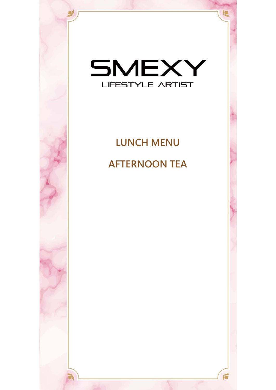

# **LUNCH MENU AFTERNOON TEA**

 $\sum$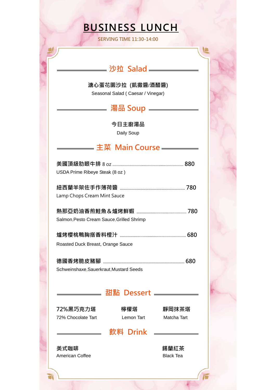# **BUSINESS LUNCH**

**SERVING TIME 11:30-14:00** 

## **沙拉 Salad**

**溏心蛋花園沙拉 (凱撒醬**/**酒醋醬)** 

Seasonal Salad ( Caesar / Vinegar)

### **湯品 Soup**

**今日主廚湯品** Daily Soup

## **主菜 Main Course**

| USDA Prime Ribeye Steak (8 oz)            |                             |                          |  |  |
|-------------------------------------------|-----------------------------|--------------------------|--|--|
|                                           | Lamp Chops Cream Mint Sauce |                          |  |  |
| Salmon, Pesto Cream Sauce, Grilled Shrimp |                             |                          |  |  |
|                                           |                             |                          |  |  |
| Roasted Duck Breast, Orange Sauce         |                             |                          |  |  |
| Schweinshaxe, Sauerkraut, Mustard Seeds   |                             |                          |  |  |
|                                           | 甜點 Dessert ——               |                          |  |  |
| 72%黑巧克力塔                                  | 檸檬塔                         | 靜岡抹茶塔                    |  |  |
| 72% Chocolate Tart                        | Lemon Tart                  | Matcha Tart              |  |  |
|                                           | 飲料 Drink                    |                          |  |  |
| 美式咖啡<br><b>American Coffee</b>            |                             | 錫蘭紅茶<br><b>Black Tea</b> |  |  |

E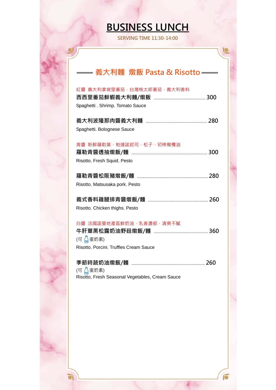# **BUSINESS LUNCH**

**SERVING TIME 11:30-14:00** 

## **義大利麵 燉飯 Pasta & Risotto**

| 紅醬 義大利拿坡里番茄,台灣桃太郎番茄,義大利香料<br>Spaghetti, Shrimp, Tomato Sauce                  |
|-------------------------------------------------------------------------------|
| Spaghetti, Bolognese Sauce                                                    |
| 青醬 新鮮羅勒葉,帕達諾起司,松子,初榨橄欖油<br>Risotto, Fresh Squid, Pesto                        |
|                                                                               |
| Risotto, Matsusaka pork, Pesto                                                |
|                                                                               |
| Risotto, Chicken thighs, Pesto                                                |
| 白醬 法國諾曼地產區鮮奶油,乳香濃郁,清爽不膩<br>(可 篇蛋奶素)<br>Risotto, Porcini, Truffles Cream Sauce |
| (可 【 蛋奶素)<br>Risotto, Fresh Seasonal Vegetables, Cream Sauce                  |
|                                                                               |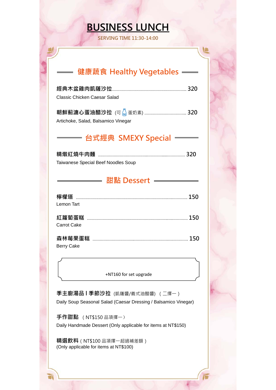## **BUSINESS LUNCH**

**SERVING TIME 11:30-14:00** 

### **健康蔬食 Healthy Vegetables**

| Classic Chicken Caesar Salad |  |
|------------------------------|--|

| Artichoke, Salad, Balsamico Vinegar |  |
|-------------------------------------|--|

## **台式經典 SMEXY Special**

| Taiwanese Special Beef Noodles Soup |  |
|-------------------------------------|--|

#### **甜點 Dessert**

| Lemon Tart  |  |
|-------------|--|
| Carrot Cake |  |
|             |  |

Berry Cake

+NT160 for set upgrade

**季主廚湯品 l 季節沙拉** (凱薩醬/義式油醋醬) (二擇一) Daily Soup Seasonal Salad (Caesar Dressing / Balsamico Vinegar)

**手作甜點** (NT\$150 品項擇一) Daily Handmade Dessert (Only applicable for items at NT\$150)

**精選飲料**(NT\$100 品項擇一超過補差額) (Only applicable for items at NT\$100)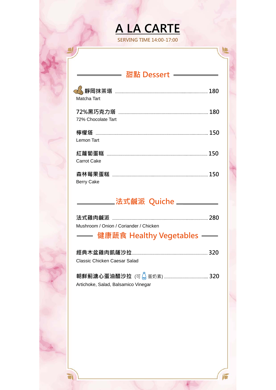# **A LA CARTE**

**SERVING TIME 14:00-17:00** 

## **甜點 Dessert**

| Matcha Tart        | 180 |
|--------------------|-----|
| 72% Chocolate Tart | 180 |
| Lemon Tart         |     |
| Carrot Cake        | 150 |
| <b>Berry Cake</b>  | 150 |

## **法式鹹派 Quiche**

| Mushroom / Onion / Coriander / Chicken |  |
|----------------------------------------|--|
|                                        |  |

## **健康蔬食 Healthy Vegetables**

| Classic Chicken Caesar Salad |  |
|------------------------------|--|

| Artichoke, Salad, Balsamico Vinegar |  |
|-------------------------------------|--|